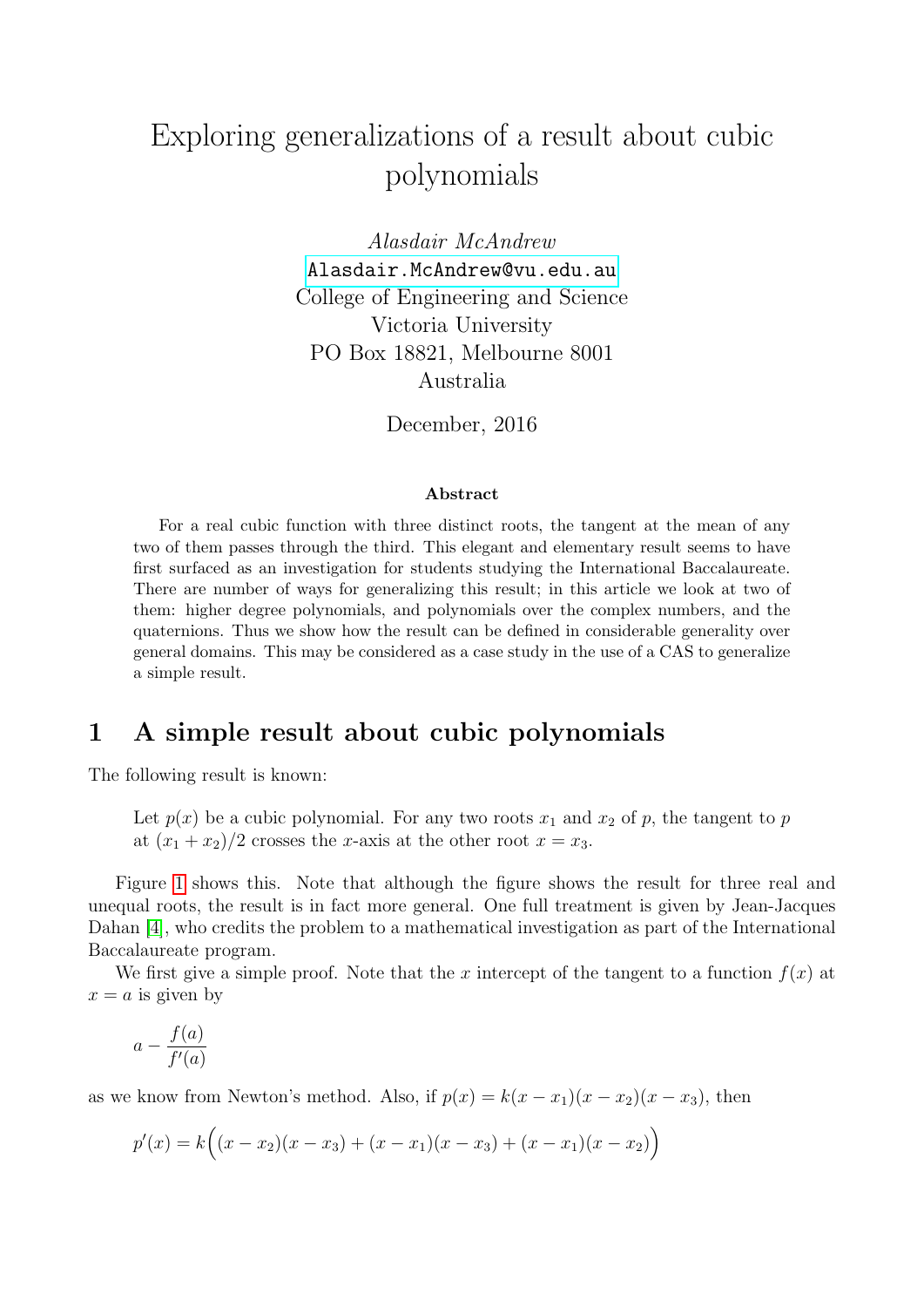# Exploring generalizations of a result about cubic polynomials

Alasdair McAndrew <Alasdair.McAndrew@vu.edu.au> College of Engineering and Science Victoria University PO Box 18821, Melbourne 8001 Australia

December, 2016

#### Abstract

For a real cubic function with three distinct roots, the tangent at the mean of any two of them passes through the third. This elegant and elementary result seems to have first surfaced as an investigation for students studying the International Baccalaureate. There are number of ways for generalizing this result; in this article we look at two of them: higher degree polynomials, and polynomials over the complex numbers, and the quaternions. Thus we show how the result can be defined in considerable generality over general domains. This may be considered as a case study in the use of a CAS to generalize a simple result.

### 1 A simple result about cubic polynomials

The following result is known:

Let  $p(x)$  be a cubic polynomial. For any two roots  $x_1$  and  $x_2$  of p, the tangent to p at  $(x_1 + x_2)/2$  crosses the x-axis at the other root  $x = x_3$ .

Figure [1](#page-1-0) shows this. Note that although the figure shows the result for three real and unequal roots, the result is in fact more general. One full treatment is given by Jean-Jacques Dahan [\[4\]](#page-11-0), who credits the problem to a mathematical investigation as part of the International Baccalaureate program.

We first give a simple proof. Note that the x intercept of the tangent to a function  $f(x)$  at  $x = a$  is given by

$$
a - \frac{f(a)}{f'(a)}
$$

as we know from Newton's method. Also, if  $p(x) = k(x - x_1)(x - x_2)(x - x_3)$ , then

$$
p'(x) = k((x - x_2)(x - x_3) + (x - x_1)(x - x_3) + (x - x_1)(x - x_2))
$$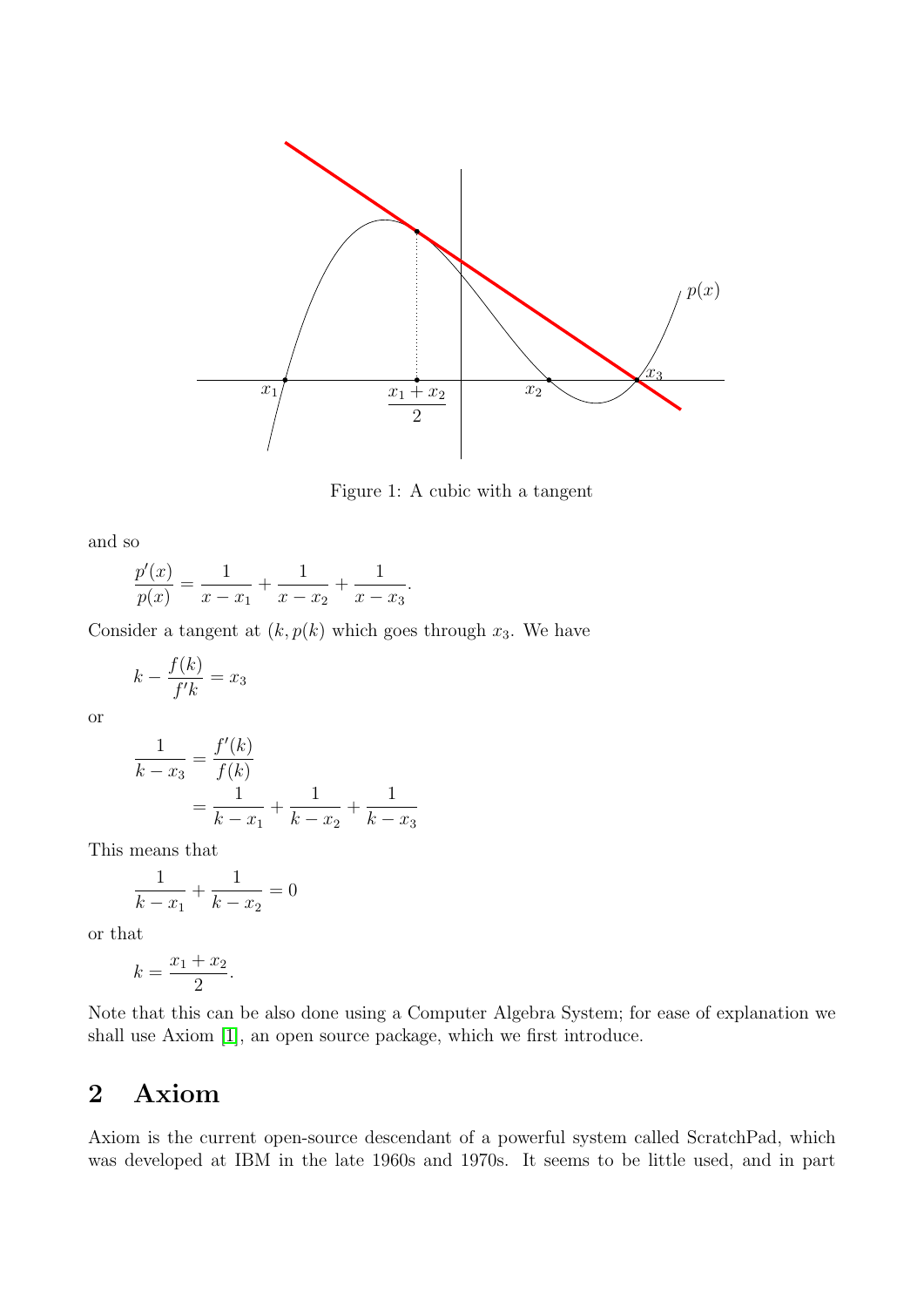

<span id="page-1-0"></span>Figure 1: A cubic with a tangent

and so

$$
\frac{p'(x)}{p(x)} = \frac{1}{x - x_1} + \frac{1}{x - x_2} + \frac{1}{x - x_3}.
$$

Consider a tangent at  $(k, p(k)$  which goes through  $x_3$ . We have

$$
k - \frac{f(k)}{f'k} = x_3
$$

or

$$
\frac{1}{k - x_3} = \frac{f'(k)}{f(k)}
$$

$$
= \frac{1}{k - x_1} + \frac{1}{k - x_2} + \frac{1}{k - x_3}
$$

This means that

$$
\frac{1}{k - x_1} + \frac{1}{k - x_2} = 0
$$

or that

$$
k = \frac{x_1 + x_2}{2}.
$$

Note that this can be also done using a Computer Algebra System; for ease of explanation we shall use Axiom [\[1\]](#page-11-1), an open source package, which we first introduce.

# 2 Axiom

Axiom is the current open-source descendant of a powerful system called ScratchPad, which was developed at IBM in the late 1960s and 1970s. It seems to be little used, and in part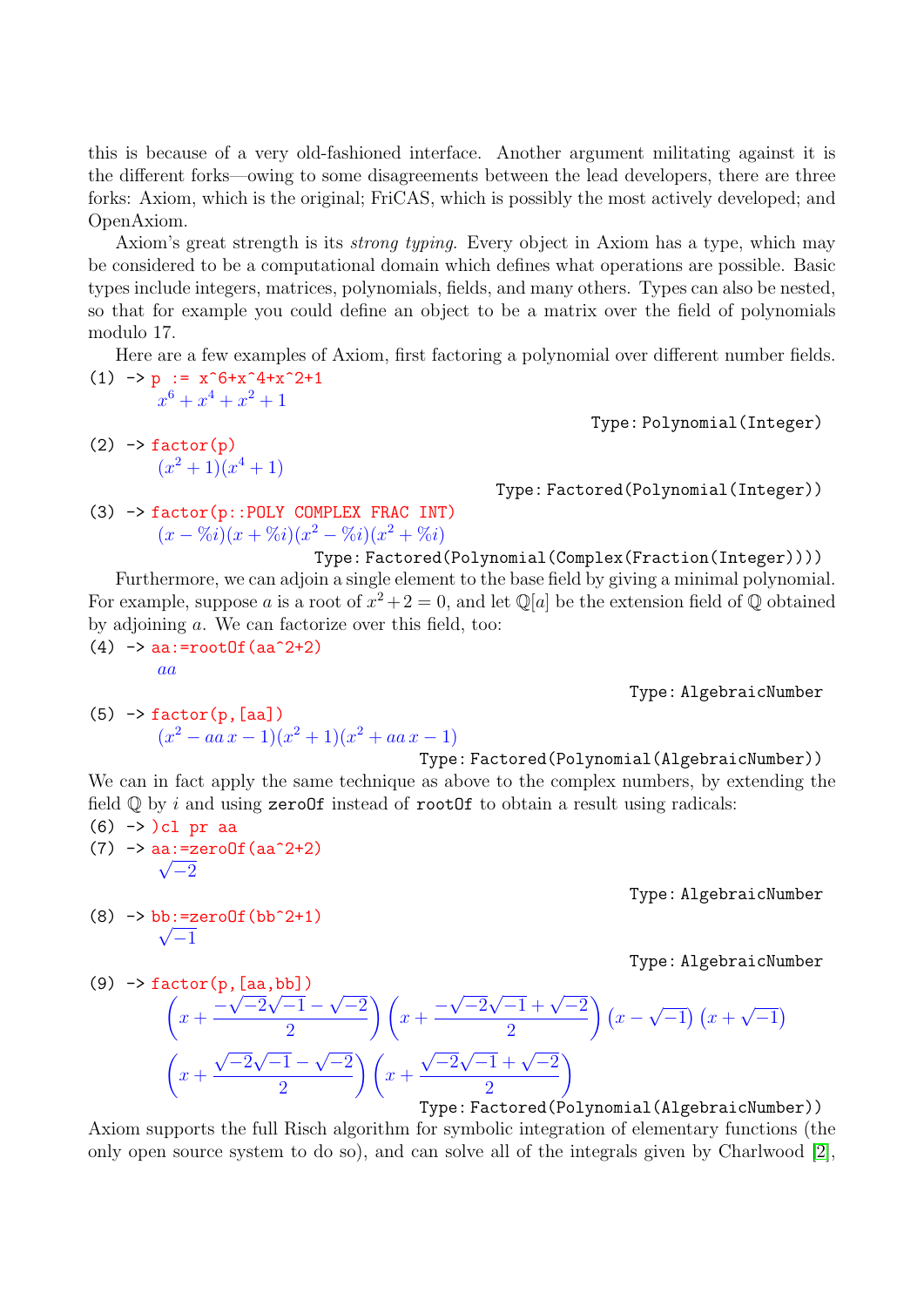this is because of a very old-fashioned interface. Another argument militating against it is the different forks—owing to some disagreements between the lead developers, there are three forks: Axiom, which is the original; FriCAS, which is possibly the most actively developed; and OpenAxiom.

Axiom's great strength is its strong typing. Every object in Axiom has a type, which may be considered to be a computational domain which defines what operations are possible. Basic types include integers, matrices, polynomials, fields, and many others. Types can also be nested, so that for example you could define an object to be a matrix over the field of polynomials modulo 17.

Here are a few examples of Axiom, first factoring a polynomial over different number fields.  $(1)$  -> p :=  $x^6+x^4+x^2+1$ 

- $x^6 + x^4 + x^2 + 1$
- $(2)$   $\rightarrow$  factor $(p)$  $(x^2+1)(x^4+1)$

Type: Polynomial(Integer)

Type: Factored(Polynomial(Integer))

(3) -> factor(p::POLY COMPLEX FRAC INT)  $(x - \%i)(x + \%i)(x^2 - \%i)(x^2 + \%i)$ 

Type: Factored(Polynomial(Complex(Fraction(Integer))))

Furthermore, we can adjoin a single element to the base field by giving a minimal polynomial. For example, suppose a is a root of  $x^2 + 2 = 0$ , and let  $\mathbb{Q}[a]$  be the extension field of  $\mathbb Q$  obtained by adjoining a. We can factorize over this field, too:  $(4)$  -> aa:=rootOf(aa^2+2)

aa

Type: AlgebraicNumber

 $(5)$  -> factor $(p, [aa])$  $(x^2 - aa x - 1)(x^2 + 1)(x^2 + aa x - 1)$ 

Type: Factored(Polynomial(AlgebraicNumber))

We can in fact apply the same technique as above to the complex numbers, by extending the field  $Q$  by i and using zeroOf instead of rootOf to obtain a result using radicals:

 $(6)$  ->  $)$ cl pr aa (7)  $\rightarrow$  aa:=zeroOf(aa^2+2)  $\sqrt{-2}$ 

(8)  $\rightarrow$  bb:=zeroOf(bb^2+1)

 $\sqrt{-1}$ 

Type: AlgebraicNumber

Type: AlgebraicNumber

(9) 
$$
\rightarrow
$$
 factor (p, [aa, bb])  
\n
$$
\left(x + \frac{-\sqrt{-2}\sqrt{-1} - \sqrt{-2}}{2}\right)\left(x + \frac{-\sqrt{-2}\sqrt{-1} + \sqrt{-2}}{2}\right)\left(x - \sqrt{-1}\right)\left(x + \sqrt{-1}\right)
$$
\n
$$
\left(x + \frac{\sqrt{-2}\sqrt{-1} - \sqrt{-2}}{2}\right)\left(x + \frac{\sqrt{-2}\sqrt{-1} + \sqrt{-2}}{2}\right)
$$
\nThree: Factored (Polynomial (Algebraic Number

Type: Factored(Polynomial(AlgebraicNumber))

Axiom supports the full Risch algorithm for symbolic integration of elementary functions (the only open source system to do so), and can solve all of the integrals given by Charlwood [\[2\]](#page-11-2),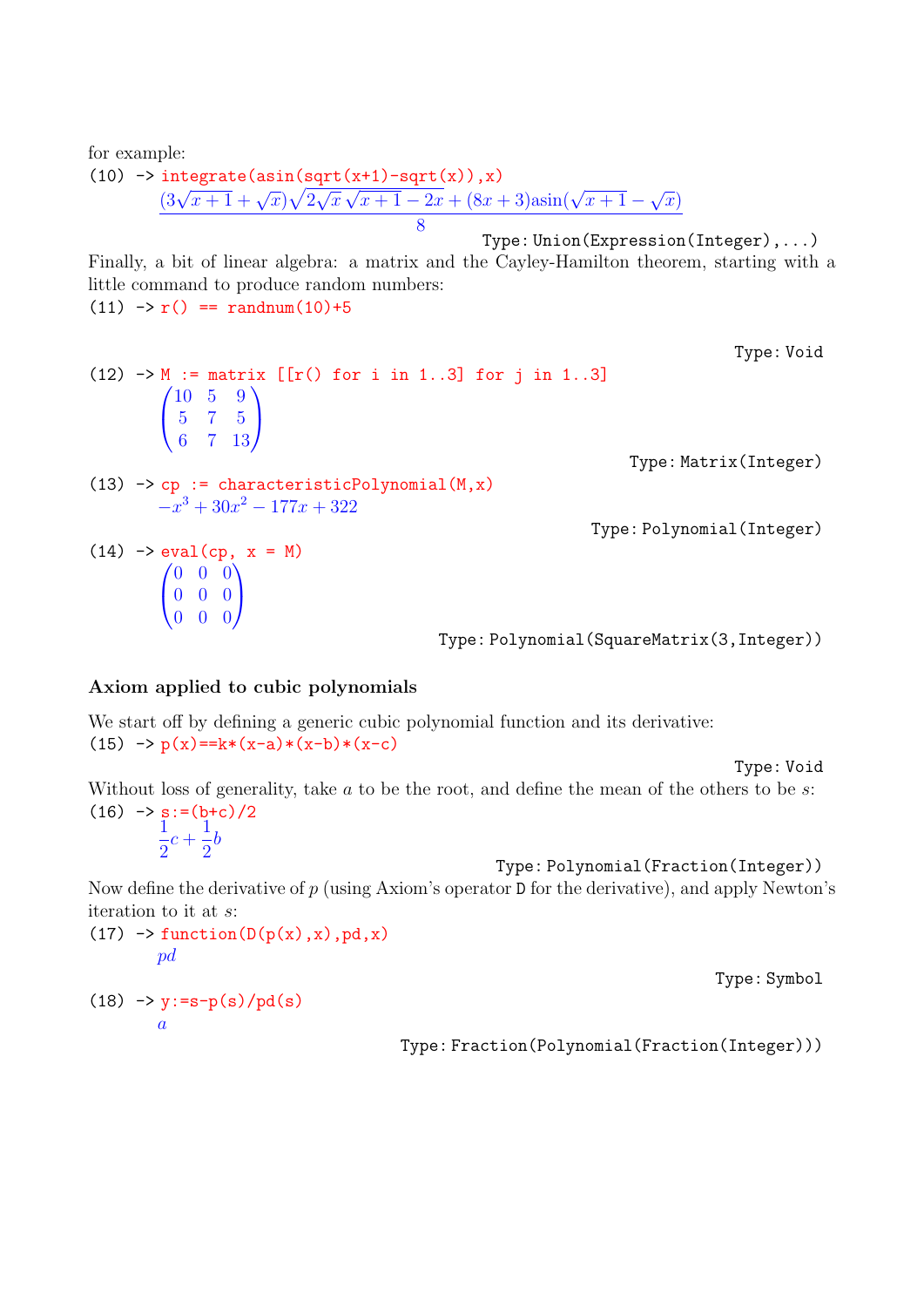for example:

(10)  $\rightarrow$  integrate(asin(sqrt(x+1)-sqrt(x)), x)  $\frac{3\sqrt{x+1} + \sqrt{x}}{\sqrt{2}}$ √  $\overline{x}$  $\frac{\sqrt{x+1}-3q}{1-2x+(8x+3)\sin(\sqrt{x+1}-1)}$ √  $\overline{x})$ 8

Type: Union(Expression(Integer),...)

Finally, a bit of linear algebra: a matrix and the Cayley-Hamilton theorem, starting with a little command to produce random numbers:  $(11)$  ->  $r()$  == randnum $(10)+5$ 

Type: Void  $(12)$  -> M := matrix  $[ [r() for i in 1..3] for j in 1..3]$  $\sqrt{ }$  $\mathbf{I}$ 10 5 9 5 7 5 6 7 13  $\setminus$  $\overline{ }$ Type: Matrix(Integer) (13)  $\rightarrow$  cp := characteristicPolynomial(M,x)  $-x^3 + 30x^2 - 177x + 322$ Type: Polynomial(Integer)  $(14)$  -> eval(cp,  $x = M$ )  $\sqrt{ }$  $\mathbf{I}$ 0 0 0 0 0 0 0 0 0  $\setminus$  $\mathbf{I}$ Type: Polynomial(SquareMatrix(3,Integer))

#### Axiom applied to cubic polynomials

We start off by defining a generic cubic polynomial function and its derivative:  $(15)$  ->  $p(x) = k*(x-a)*(x-b)*(x-c)$ 

Type: Void

Without loss of generality, take  $a$  to be the root, and define the mean of the others to be  $s$ :  $(16)$  ->  $s:=(b+c)/2$ 

1 2  $c +$ 1 2 b

Type: Polynomial(Fraction(Integer))

Now define the derivative of  $p$  (using Axiom's operator  $D$  for the derivative), and apply Newton's iteration to it at s:

 $(17)$  -> function( $D(p(x),x)$ , pd, x) pd

Type: Symbol

$$
(18) \rightarrow y:=s-p(s)/pd(s)
$$
  
  $a$ 

Type: Fraction(Polynomial(Fraction(Integer)))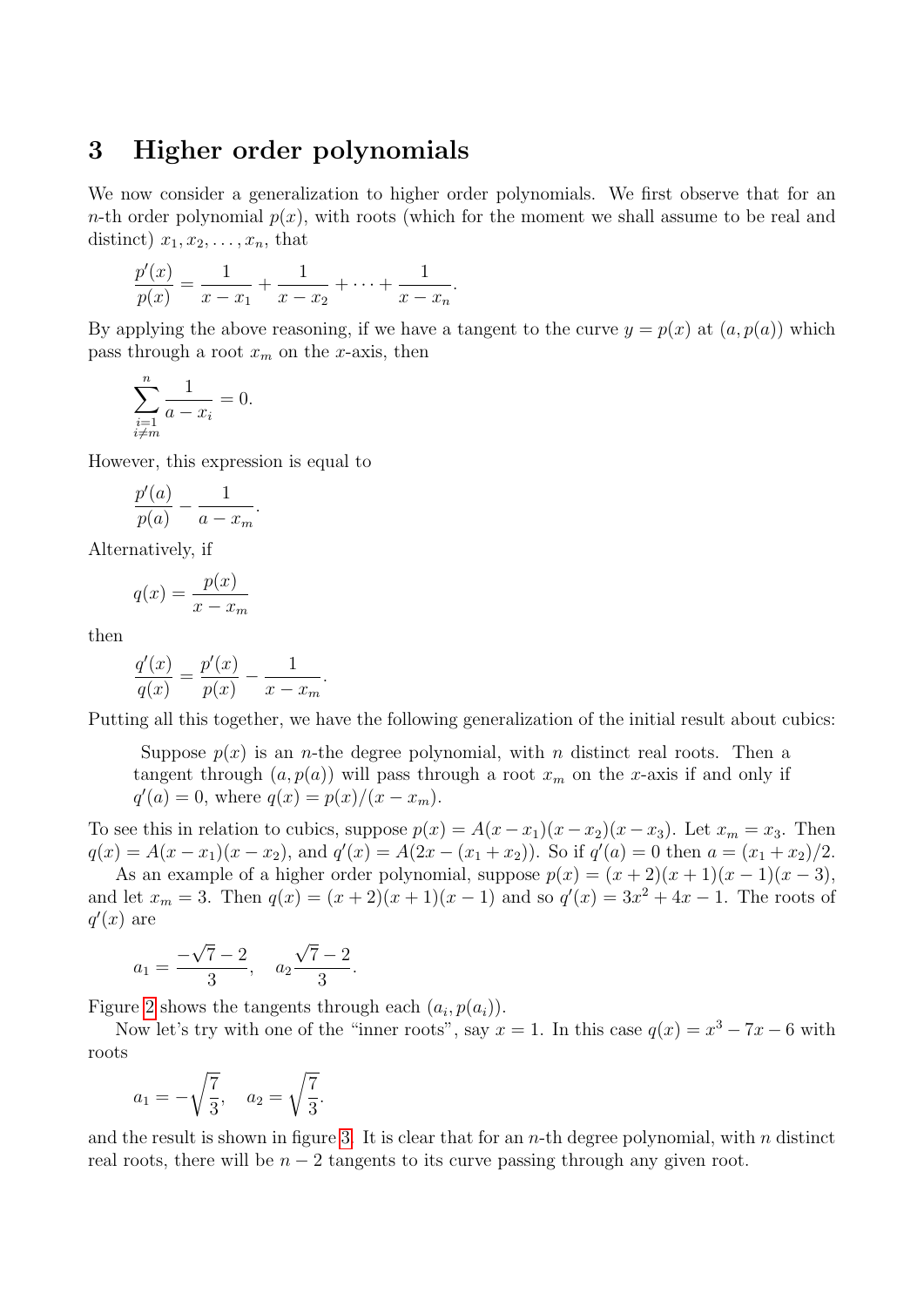### 3 Higher order polynomials

We now consider a generalization to higher order polynomials. We first observe that for an n-th order polynomial  $p(x)$ , with roots (which for the moment we shall assume to be real and distinct)  $x_1, x_2, \ldots, x_n$ , that

$$
\frac{p'(x)}{p(x)} = \frac{1}{x - x_1} + \frac{1}{x - x_2} + \dots + \frac{1}{x - x_n}.
$$

By applying the above reasoning, if we have a tangent to the curve  $y = p(x)$  at  $(a, p(a))$  which pass through a root  $x_m$  on the x-axis, then

$$
\sum_{\substack{i=1 \ i \neq m}}^{n} \frac{1}{a - x_i} = 0.
$$

However, this expression is equal to

$$
\frac{p'(a)}{p(a)} - \frac{1}{a - x_m}.
$$

Alternatively, if

$$
q(x) = \frac{p(x)}{x - x_m}
$$

then

$$
\frac{q'(x)}{q(x)} = \frac{p'(x)}{p(x)} - \frac{1}{x - x_m}
$$

Putting all this together, we have the following generalization of the initial result about cubics:

Suppose  $p(x)$  is an *n*-the degree polynomial, with *n* distinct real roots. Then a tangent through  $(a, p(a))$  will pass through a root  $x_m$  on the x-axis if and only if  $q'(a) = 0$ , where  $q(x) = p(x)/(x - x_m)$ .

To see this in relation to cubics, suppose  $p(x) = A(x - x_1)(x - x_2)(x - x_3)$ . Let  $x_m = x_3$ . Then  $q(x) = A(x - x_1)(x - x_2)$ , and  $q'(x) = A(2x - (x_1 + x_2))$ . So if  $q'(a) = 0$  then  $a = (x_1 + x_2)/2$ .

As an example of a higher order polynomial, suppose  $p(x) = (x + 2)(x + 1)(x - 1)(x - 3)$ , and let  $x_m = 3$ . Then  $q(x) = (x+2)(x+1)(x-1)$  and so  $q'(x) = 3x^2 + 4x - 1$ . The roots of  $q'(x)$  are

$$
a_1 = \frac{-\sqrt{7} - 2}{3}, \quad a_2 \frac{\sqrt{7} - 2}{3}.
$$

Figure [2](#page-5-0) shows the tangents through each  $(a_i, p(a_i))$ .

.

Now let's try with one of the "inner roots", say  $x = 1$ . In this case  $q(x) = x^3 - 7x - 6$  with roots

$$
a_1 = -\sqrt{\frac{7}{3}}, \quad a_2 = \sqrt{\frac{7}{3}}.
$$

and the result is shown in figure [3.](#page-6-0) It is clear that for an  $n$ -th degree polynomial, with  $n$  distinct real roots, there will be  $n - 2$  tangents to its curve passing through any given root.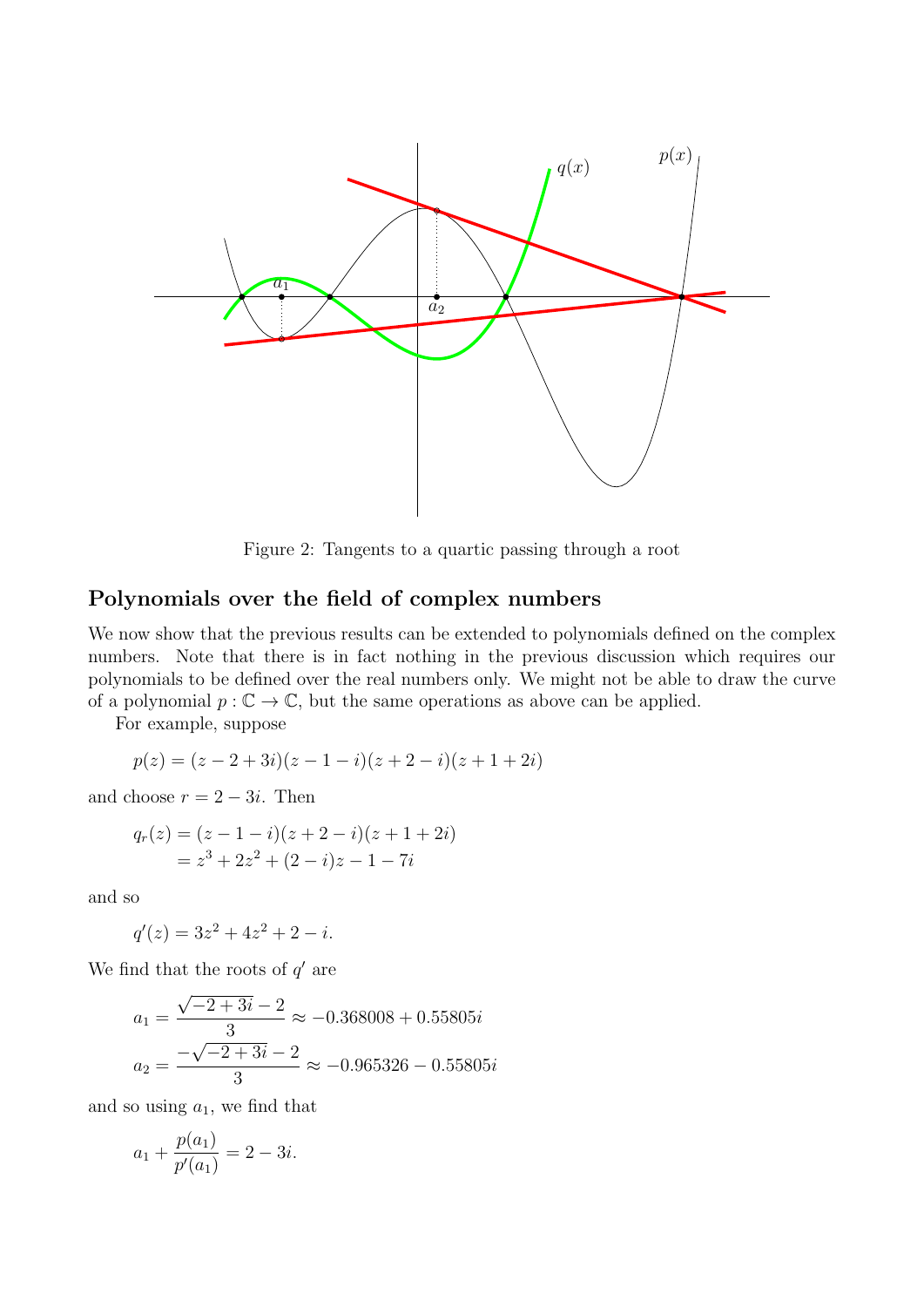

<span id="page-5-0"></span>Figure 2: Tangents to a quartic passing through a root

### Polynomials over the field of complex numbers

We now show that the previous results can be extended to polynomials defined on the complex numbers. Note that there is in fact nothing in the previous discussion which requires our polynomials to be defined over the real numbers only. We might not be able to draw the curve of a polynomial  $p : \mathbb{C} \to \mathbb{C}$ , but the same operations as above can be applied.

For example, suppose

$$
p(z) = (z - 2 + 3i)(z - 1 - i)(z + 2 - i)(z + 1 + 2i)
$$

and choose  $r = 2 - 3i$ . Then

$$
q_r(z) = (z - 1 - i)(z + 2 - i)(z + 1 + 2i)
$$
  
=  $z^3 + 2z^2 + (2 - i)z - 1 - 7i$ 

and so

$$
q'(z) = 3z^2 + 4z^2 + 2 - i.
$$

We find that the roots of  $q'$  are

$$
a_1 = \frac{\sqrt{-2 + 3i} - 2}{3} \approx -0.368008 + 0.55805i
$$

$$
a_2 = \frac{-\sqrt{-2 + 3i} - 2}{3} \approx -0.965326 - 0.55805i
$$

and so using  $a_1$ , we find that

$$
a_1 + \frac{p(a_1)}{p'(a_1)} = 2 - 3i.
$$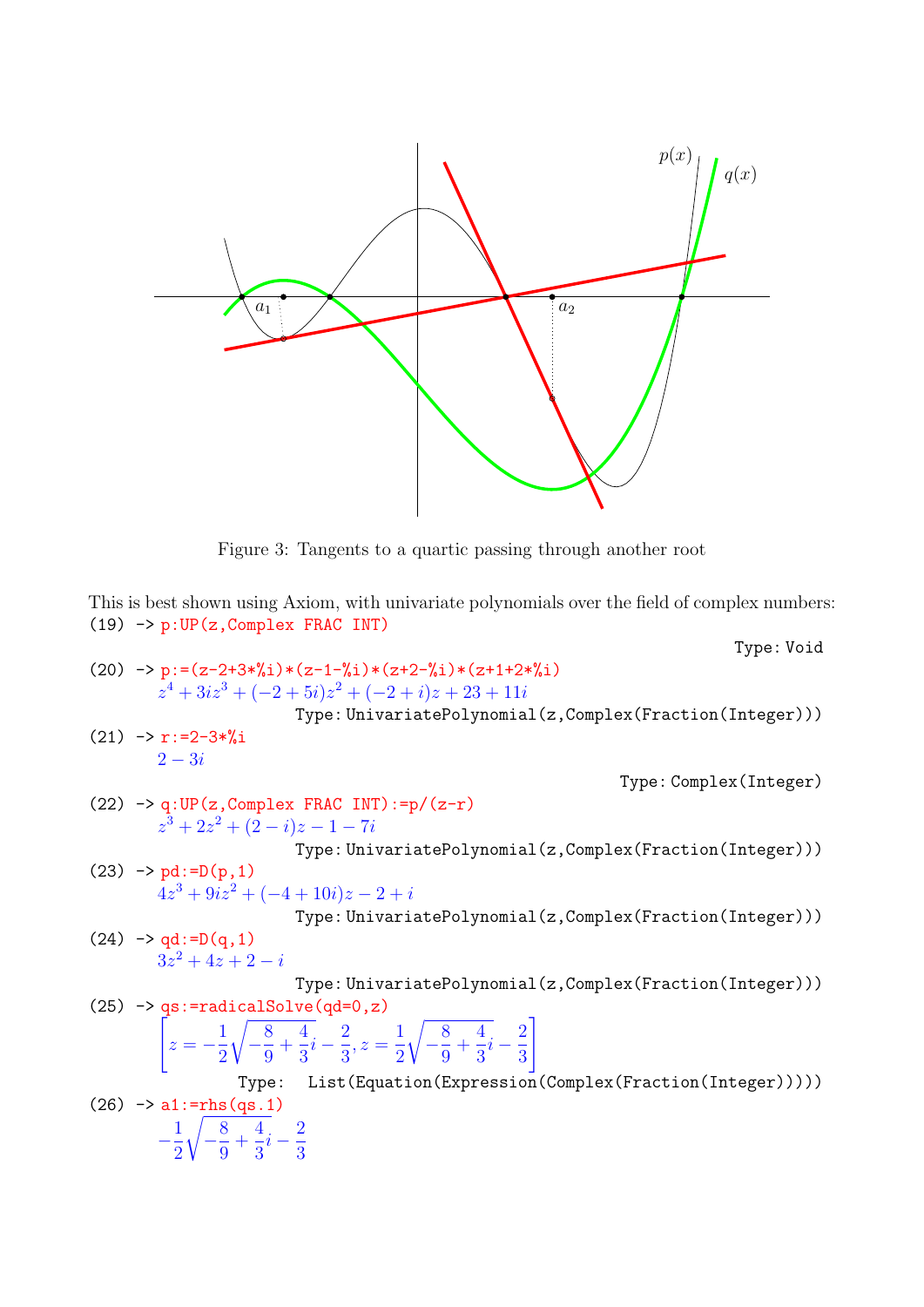

<span id="page-6-0"></span>Figure 3: Tangents to a quartic passing through another root

This is best shown using Axiom, with univariate polynomials over the field of complex numbers: (19) -> p:UP(z,Complex FRAC INT)

(20) 
$$
-> p := (z-2+3*\%i)* (z-1-\%i)* (z+2-\%i)* (z+1+2*\%i) \nzy+4+3iz^3 + (-2+5i)z^2 + (-2+i)z + 23 + 11i \nType: UnivariatePolynomial(z, Complex(Fraction(Integer)))\n(21) 
$$
-> r := 2-3*\%i
$$
\n(22) 
$$
-> q : UP(z, Complex FRAC INT) := p/(z-r)
$$
\n
$$
z^3 + 2z^2 + (2-i)z - 1 - 7i
$$
\nType: UnivariatePolynomial(z, Complex(Fraction(Integer)))\n(23) 
$$
-> pd := D(p, 1)
$$
\n
$$
4z^3 + 9iz^2 + (-4+10i)z - 2 + i
$$
\nType: UnivariatePolynomial(z, Complex(Fraction(Integer)))\n(24) 
$$
-> qd := D(q, 1)
$$
\n
$$
3z^2 + 4z + 2 - i
$$
\nType: UnivariatePolynomial(z, Complex(Fraction(Integer)))\n(25) 
$$
-> qs := \text{radicalSolve}(qd=0, z)
$$
\n
$$
\begin{bmatrix} z = -\frac{1}{2}\sqrt{-\frac{8}{9}} + \frac{4}{3}i - \frac{2}{3}, z = \frac{1}{2}\sqrt{-\frac{8}{9}} + \frac{4}{3}i - \frac{2}{3} \\ \n\text{Type: List(Equation(Expression(Complex(Fraction(Integer))))))\n(26) 
$$
-> a1 := \text{rhs}(qs. 1)
$$
\n
$$
-\frac{1}{2}\sqrt{-\frac{8}{9}} + \frac{4}{3}i - \frac{2}{3}
$$
$$
$$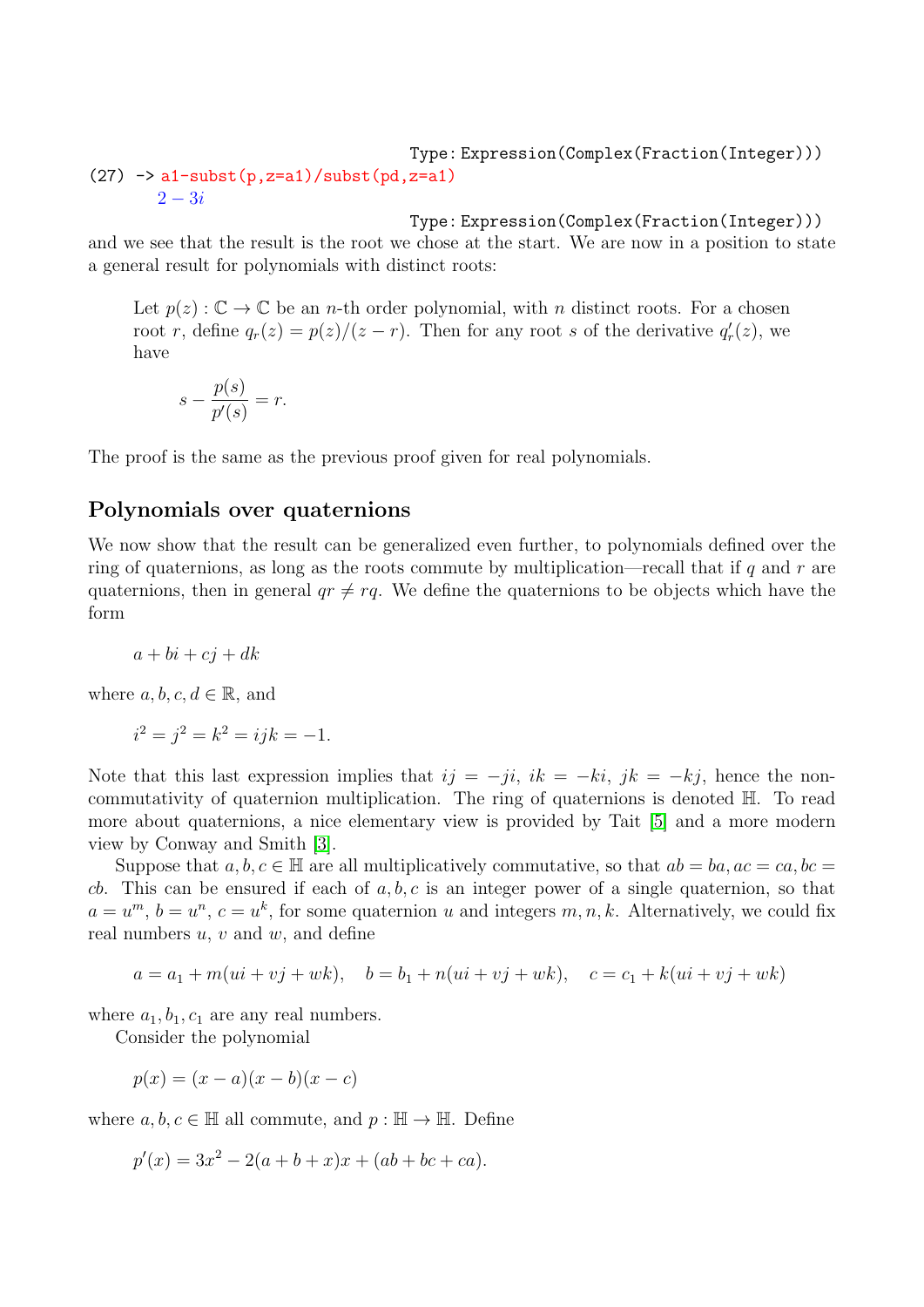### Type: Expression(Complex(Fraction(Integer)))  $(27)$  -> a1-subst(p,z=a1)/subst(pd,z=a1)  $2 - 3i$

Type: Expression(Complex(Fraction(Integer)))

and we see that the result is the root we chose at the start. We are now in a position to state a general result for polynomials with distinct roots:

Let  $p(z): \mathbb{C} \to \mathbb{C}$  be an *n*-th order polynomial, with *n* distinct roots. For a chosen root r, define  $q_r(z) = p(z)/(z - r)$ . Then for any root s of the derivative  $q'_r(z)$ , we have

$$
s - \frac{p(s)}{p'(s)} = r.
$$

The proof is the same as the previous proof given for real polynomials.

### Polynomials over quaternions

We now show that the result can be generalized even further, to polynomials defined over the ring of quaternions, as long as the roots commute by multiplication—recall that if q and r are quaternions, then in general  $qr \neq rq$ . We define the quaternions to be objects which have the form

$$
a + bi + cj + dk
$$

where  $a, b, c, d \in \mathbb{R}$ , and

$$
i^2 = j^2 = k^2 = ijk = -1.
$$

Note that this last expression implies that  $ij = -ji$ ,  $ik = -ki$ ,  $jk = -kj$ , hence the noncommutativity of quaternion multiplication. The ring of quaternions is denoted H. To read more about quaternions, a nice elementary view is provided by Tait [\[5\]](#page-11-3) and a more modern view by Conway and Smith [\[3\]](#page-11-4).

Suppose that  $a, b, c \in \mathbb{H}$  are all multiplicatively commutative, so that  $ab = ba, ac = ca, bc =$ cb. This can be ensured if each of  $a, b, c$  is an integer power of a single quaternion, so that  $a = u^m$ ,  $b = u^n$ ,  $c = u^k$ , for some quaternion u and integers  $m, n, k$ . Alternatively, we could fix real numbers  $u, v$  and  $w$ , and define

$$
a = a_1 + m(ui + vj + wk),
$$
  $b = b_1 + n(ui + vj + wk),$   $c = c_1 + k(ui + vj + wk)$ 

where  $a_1, b_1, c_1$  are any real numbers.

Consider the polynomial

 $p(x) = (x - a)(x - b)(x - c)$ 

where  $a, b, c \in \mathbb{H}$  all commute, and  $p : \mathbb{H} \to \mathbb{H}$ . Define

$$
p'(x) = 3x^2 - 2(a+b+x)x + (ab+bc+ca).
$$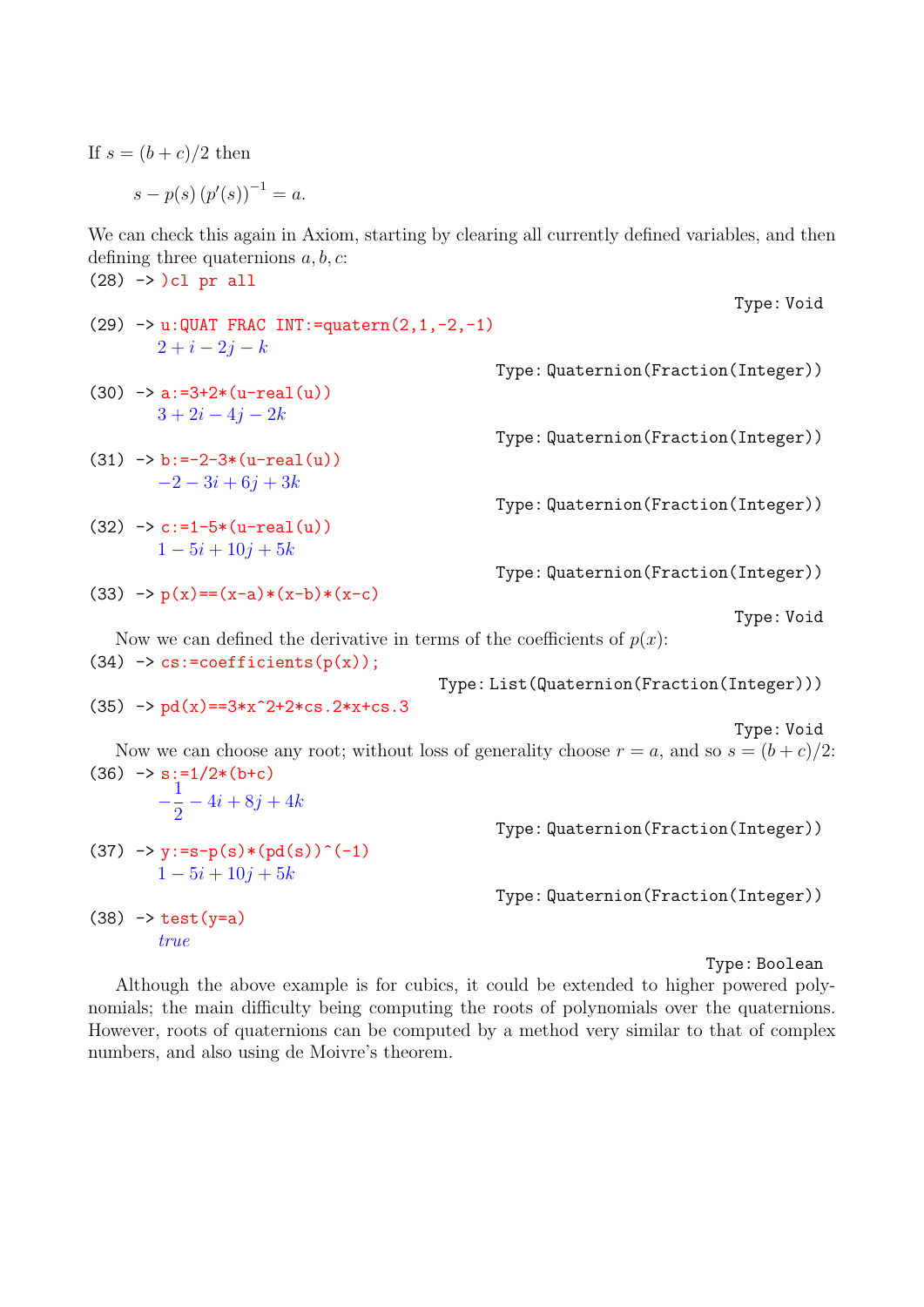If  $s = (b+c)/2$  then

$$
s - p(s) (p'(s))^{-1} = a.
$$

We can check this again in Axiom, starting by clearing all currently defined variables, and then defining three quaternions  $a, b, c$ :  $(28)$  ->  $)$ cl pr all

- (29)  $\rightarrow$  u:QUAT FRAC INT:=quatern(2,1,-2,-1)  $2 + i - 2j - k$
- $(30)$  -> a:=3+2\*(u-real(u))  $3 + 2i - 4j - 2k$
- $(31)$  -> b:=-2-3\*(u-real(u))  $-2 - 3i + 6j + 3k$
- $(32)$  ->  $c:=1-5*(u-real(u))$  $1 - 5i + 10j + 5k$
- (33)  $\rightarrow p(x) = (x-a)*(x-b)*(x-c)$

Type: Void

Type: Void

Now we can defined the derivative in terms of the coefficients of  $p(x)$ :  $(34)$  -> cs:=coefficients(p(x));

Type: List(Quaternion(Fraction(Integer)))

Type: Quaternion(Fraction(Integer))

Type: Quaternion(Fraction(Integer))

Type: Quaternion(Fraction(Integer))

Type: Quaternion(Fraction(Integer))

 $(35)$  -> pd(x)==3\*x<sup>2+2\*cs.2\*x+cs.3</sup>

Type: Void

Now we can choose any root; without loss of generality choose  $r = a$ , and so  $s = (b + c)/2$ :  $(36)$  -> s:=1/2\*(b+c)  $-\frac{1}{2}$ 2  $-4i + 8j + 4k$ Type: Quaternion(Fraction(Integer))  $(37) \rightarrow y:=s-p(s)*(pd(s))^{(-1)}$  $1 - 5i + 10j + 5k$ Type: Quaternion(Fraction(Integer))  $(38)$  -> test(y=a) true

Type: Boolean

Although the above example is for cubics, it could be extended to higher powered polynomials; the main difficulty being computing the roots of polynomials over the quaternions. However, roots of quaternions can be computed by a method very similar to that of complex numbers, and also using de Moivre's theorem.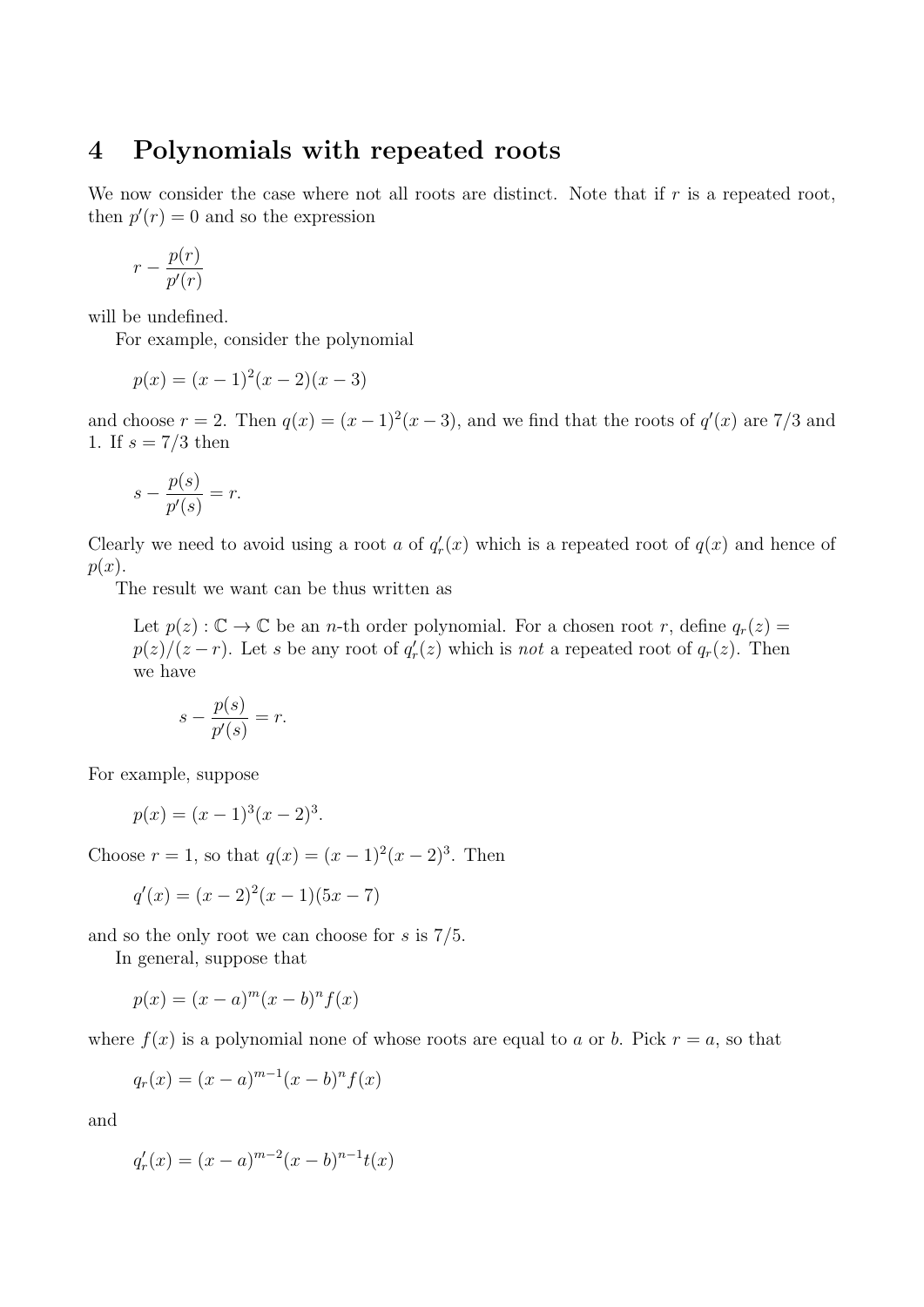## 4 Polynomials with repeated roots

We now consider the case where not all roots are distinct. Note that if  $r$  is a repeated root, then  $p'(r) = 0$  and so the expression

$$
r - \frac{p(r)}{p'(r)}
$$

will be undefined.

For example, consider the polynomial

$$
p(x) = (x - 1)^2(x - 2)(x - 3)
$$

and choose  $r = 2$ . Then  $q(x) = (x - 1)^2(x - 3)$ , and we find that the roots of  $q'(x)$  are 7/3 and 1. If  $s = 7/3$  then

$$
s - \frac{p(s)}{p'(s)} = r.
$$

Clearly we need to avoid using a root a of  $q'_r(x)$  which is a repeated root of  $q(x)$  and hence of  $p(x)$ .

The result we want can be thus written as

Let  $p(z): \mathbb{C} \to \mathbb{C}$  be an *n*-th order polynomial. For a chosen root *r*, define  $q_r(z)$  $p(z)/(z-r)$ . Let s be any root of  $q'_r(z)$  which is not a repeated root of  $q_r(z)$ . Then we have

$$
s - \frac{p(s)}{p'(s)} = r.
$$

For example, suppose

$$
p(x) = (x - 1)^3 (x - 2)^3.
$$

Choose  $r = 1$ , so that  $q(x) = (x - 1)^2(x - 2)^3$ . Then

$$
q'(x) = (x-2)^2(x-1)(5x-7)
$$

and so the only root we can choose for s is 7/5.

In general, suppose that

$$
p(x) = (x - a)^m (x - b)^n f(x)
$$

where  $f(x)$  is a polynomial none of whose roots are equal to a or b. Pick  $r = a$ , so that

$$
q_r(x) = (x - a)^{m-1}(x - b)^n f(x)
$$

and

$$
q_r'(x) = (x - a)^{m-2}(x - b)^{n-1}t(x)
$$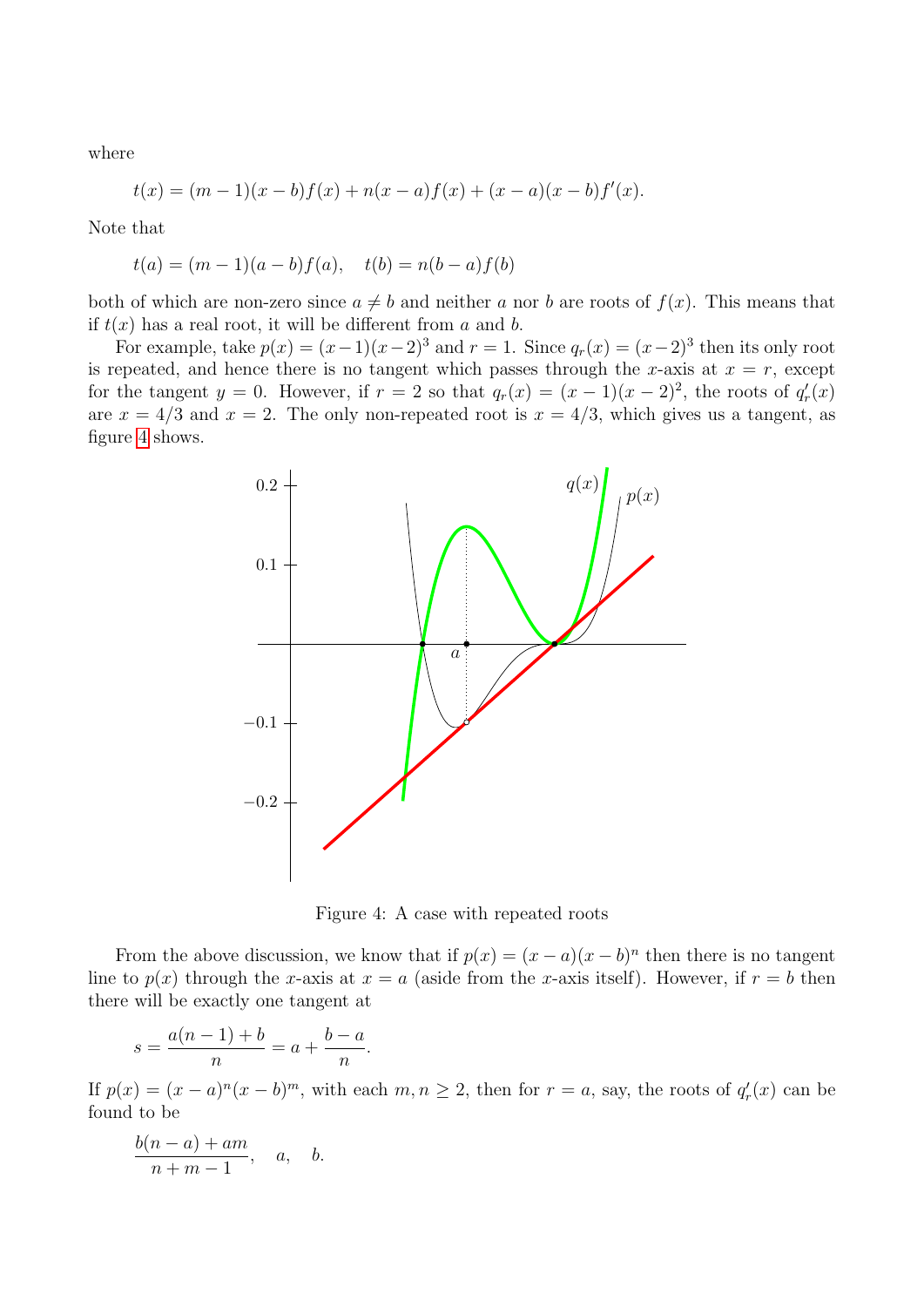where

$$
t(x) = (m-1)(x - b)f(x) + n(x - a)f(x) + (x - a)(x - b)f'(x).
$$

Note that

$$
t(a) = (m-1)(a - b)f(a), \quad t(b) = n(b - a)f(b)
$$

both of which are non-zero since  $a \neq b$  and neither a nor b are roots of  $f(x)$ . This means that if  $t(x)$  has a real root, it will be different from a and b.

For example, take  $p(x) = (x-1)(x-2)^3$  and  $r = 1$ . Since  $q_r(x) = (x-2)^3$  then its only root is repeated, and hence there is no tangent which passes through the x-axis at  $x = r$ , except for the tangent  $y = 0$ . However, if  $r = 2$  so that  $q_r(x) = (x - 1)(x - 2)^2$ , the roots of  $q'_r(x)$ are  $x = 4/3$  and  $x = 2$ . The only non-repeated root is  $x = 4/3$ , which gives us a tangent, as figure [4](#page-10-0) shows.



<span id="page-10-0"></span>Figure 4: A case with repeated roots

From the above discussion, we know that if  $p(x) = (x - a)(x - b)^n$  then there is no tangent line to  $p(x)$  through the x-axis at  $x = a$  (aside from the x-axis itself). However, if  $r = b$  then there will be exactly one tangent at

$$
s = \frac{a(n-1) + b}{n} = a + \frac{b - a}{n}.
$$

If  $p(x) = (x - a)^n (x - b)^m$ , with each  $m, n \ge 2$ , then for  $r = a$ , say, the roots of  $q'_r(x)$  can be found to be

$$
\frac{b(n-a)+am}{n+m-1}, \quad a, \quad b.
$$